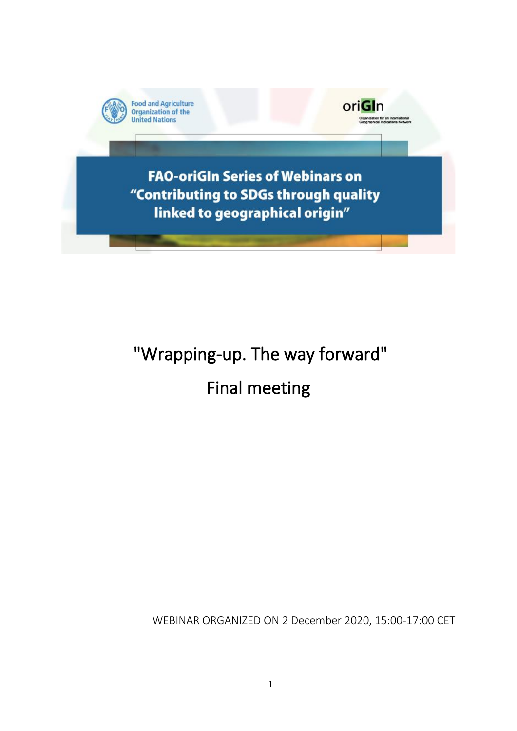



**FAO-oriGIn Series of Webinars on** "Contributing to SDGs through quality linked to geographical origin"

# "Wrapping-up. The way forward" Final meeting

WEBINAR ORGANIZED ON 2 December 2020, 15:00-17:00 CET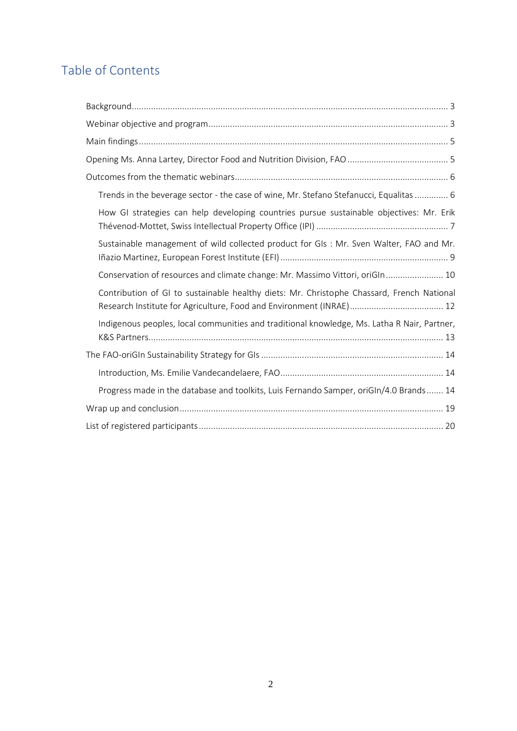## Table of Contents

| Trends in the beverage sector - the case of wine, Mr. Stefano Stefanucci, Equalitas  6      |
|---------------------------------------------------------------------------------------------|
| How GI strategies can help developing countries pursue sustainable objectives: Mr. Erik     |
| Sustainable management of wild collected product for GIs: Mr. Sven Walter, FAO and Mr.      |
| Conservation of resources and climate change: Mr. Massimo Vittori, oriGIn 10                |
| Contribution of GI to sustainable healthy diets: Mr. Christophe Chassard, French National   |
| Indigenous peoples, local communities and traditional knowledge, Ms. Latha R Nair, Partner, |
|                                                                                             |
|                                                                                             |
| Progress made in the database and toolkits, Luis Fernando Samper, oriGIn/4.0 Brands 14      |
|                                                                                             |
|                                                                                             |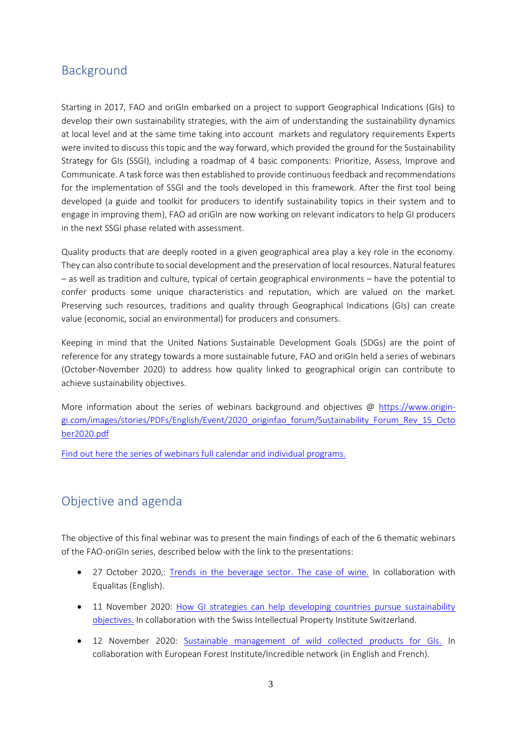### <span id="page-2-0"></span>Background

Starting in 2017, FAO and oriGIn embarked on a project to support Geographical Indications (GIs) to develop their own sustainability strategies, with the aim of understanding the sustainability dynamics at local level and at the same time taking into account markets and regulatory requirements Experts were invited to discuss this topic and the way forward, which provided the ground for the Sustainability Strategy for GIs (SSGI), including a roadmap of 4 basic components: Prioritize, Assess, Improve and Communicate. A task force wasthen established to provide continuous feedback and recommendations for the implementation of SSGI and the tools developed in this framework. After the first tool being developed (a guide and toolkit for producers to identify sustainability topics in their system and to engage in improving them), FAO ad oriGIn are now working on relevant indicators to help GI producers in the next SSGI phase related with assessment.

Quality products that are deeply rooted in a given geographical area play a key role in the economy. They can also contribute to social development and the preservation of local resources. Natural features – as well as tradition and culture, typical of certain geographical environments – have the potential to confer products some unique characteristics and reputation, which are valued on the market. Preserving such resources, traditions and quality through Geographical Indications (GIs) can create value (economic, social an environmental) for producers and consumers.

Keeping in mind that the United Nations Sustainable Development Goals (SDGs) are the point of reference for any strategy towards a more sustainable future, FAO and oriGIn held a series of webinars (October-November 2020) to address how quality linked to geographical origin can contribute to achieve sustainability objectives.

More information about the series of webinars background and objectives @ [https://www.origin](https://www.origin-gi.com/images/stories/PDFs/English/Event/2020_originfao_forum/Sustainability_Forum_Rev_15_October2020.pdf)[gi.com/images/stories/PDFs/English/Event/2020\\_originfao\\_forum/Sustainability\\_Forum\\_Rev\\_15\\_Octo](https://www.origin-gi.com/images/stories/PDFs/English/Event/2020_originfao_forum/Sustainability_Forum_Rev_15_October2020.pdf) [ber2020.pdf](https://www.origin-gi.com/images/stories/PDFs/English/Event/2020_originfao_forum/Sustainability_Forum_Rev_15_October2020.pdf)

[Find out here the series of webinars full calendar and individual programs.](https://www.origin-gi.com/content-page/item/15338-individual-webinars-programs.html)

### <span id="page-2-1"></span>Objective and agenda

The objective of this final webinar was to present the main findings of each of the 6 thematic webinars of the FAO-oriGIn series, described below with the link to the presentations:

- 27 October 2020,: [Trends in the beverage sector. The case of wine.](https://www.origin-gi.com/content-page/item/15318-27-10-2020-series-of-webinars-on-contributing-to-sdgs-through-quality-linked-to-geographical-origin-online-event-on-trends-in-the-wine-sector.htmlhttps:/www.origin-gi.com/content-page/item/15318-27-10-2020-series-of-webinars-on-contributing-to-sdgs-through-quality-linked-to-geographical-origin-online-event-on-trends-in-the-wine-sector.html) In collaboration with Equalitas (English).
- 11 November 2020: How GI strategies can help developing countries pursue sustainability [objectives.](https://www.origin-gi.com/content-page/item/15339-11-11-2020-series-of-webinars-on-contributing-to-sdgs-through-quality-linked-to-geographical-origin-online-event-on-how-gi-strategies-can-help-developing-countries-pursue-sustainability-objectives.html) In collaboration with the Swiss Intellectual Property Institute Switzerland.
- 12 November 2020: [Sustainable management of wild collected products for GIs.](https://www.origin-gi.com/content-page/item/15340-12-11-2020-series-of-webinars-on-contributing-to-sdgs-through-quality-linked-to-geographical-origin-event-on-sustainable-management-of-wild-collected-products-for-gis.html) In collaboration with European Forest Institute/Incredible network (in English and French).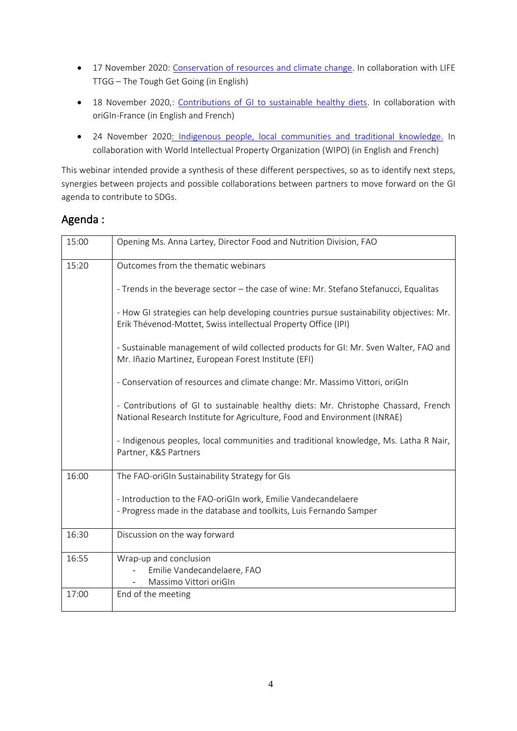- 17 November 2020: [Conservation of resources and climate change.](file:///C:/Users/Solène/Desktop/OriGIn/Webinaires/Conservation%20of%20resources%20and%20climate%20change.%20In%20collaboration%20with%20LIFE%20TTGG%20–%20The%20Tough%20Get%20Going%20(in%20English)) In collaboration with LIFE TTGG – The Tough Get Going (in English)
- 18 November 2020,: [Contributions of GI to sustainable healthy diets.](https://www.origin-gi.com/content-page/item/15342-18-11-2020-fao-origin-series-of-webinars-on-contributing-to-sdgs-through-quality-linked-to-geographical-origin-online-event-contributions-of-gi-to-sustainable-healthy-diets.html) In collaboration with oriGIn-France (in English and French)
- 24 November 2020: [Indigenous people, local communities and traditional knowledge.](https://www.origin-gi.com/content-page/item/15352-24-11-2020-fao-origin-series-of-webinars-on-contributing-to-sdgs-through-quality-linked-to-geographical-origin-online-event-indigenous-people-local-communities-and-traditional-knowledge.html) In collaboration with World Intellectual Property Organization (WIPO) (in English and French)

This webinar intended provide a synthesis of these different perspectives, so as to identify next steps, synergies between projects and possible collaborations between partners to move forward on the GI agenda to contribute to SDGs.

### Agenda :

| 15:00 | Opening Ms. Anna Lartey, Director Food and Nutrition Division, FAO                                                                                               |
|-------|------------------------------------------------------------------------------------------------------------------------------------------------------------------|
| 15:20 | Outcomes from the thematic webinars                                                                                                                              |
|       | - Trends in the beverage sector - the case of wine: Mr. Stefano Stefanucci, Equalitas                                                                            |
|       | - How GI strategies can help developing countries pursue sustainability objectives: Mr.<br>Erik Thévenod-Mottet, Swiss intellectual Property Office (IPI)        |
|       | - Sustainable management of wild collected products for GI: Mr. Sven Walter, FAO and<br>Mr. Iñazio Martinez, European Forest Institute (EFI)                     |
|       | - Conservation of resources and climate change: Mr. Massimo Vittori, oriGIn                                                                                      |
|       | - Contributions of GI to sustainable healthy diets: Mr. Christophe Chassard, French<br>National Research Institute for Agriculture, Food and Environment (INRAE) |
|       | - Indigenous peoples, local communities and traditional knowledge, Ms. Latha R Nair,<br>Partner, K&S Partners                                                    |
| 16:00 | The FAO-oriGIn Sustainability Strategy for GIs                                                                                                                   |
|       | - Introduction to the FAO-oriGIn work, Emilie Vandecandelaere<br>- Progress made in the database and toolkits, Luis Fernando Samper                              |
| 16:30 | Discussion on the way forward                                                                                                                                    |
| 16:55 | Wrap-up and conclusion<br>Emilie Vandecandelaere, FAO<br>Massimo Vittori oriGln                                                                                  |
| 17:00 | End of the meeting                                                                                                                                               |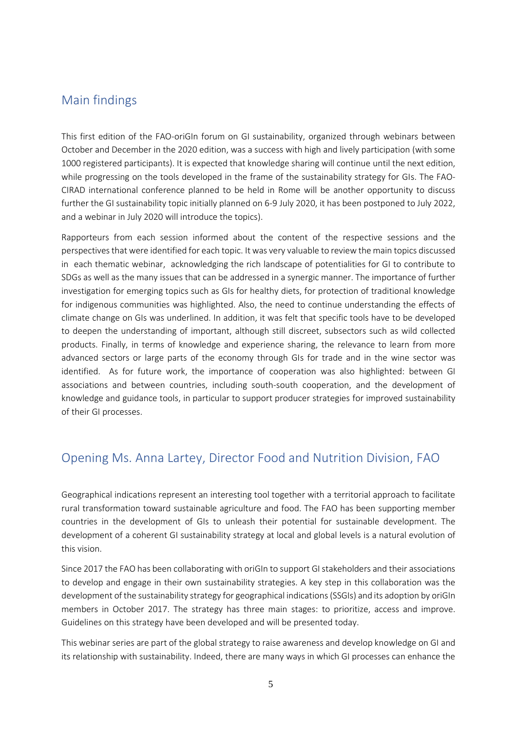### <span id="page-4-0"></span>Main findings

This first edition of the FAO-oriGIn forum on GI sustainability, organized through webinars between October and December in the 2020 edition, was a success with high and lively participation (with some 1000 registered participants). It is expected that knowledge sharing will continue until the next edition, while progressing on the tools developed in the frame of the sustainability strategy for GIs. The FAO-CIRAD international conference planned to be held in Rome will be another opportunity to discuss further the GI sustainability topic initially planned on 6-9 July 2020, it has been postponed to July 2022, and a webinar in July 2020 will introduce the topics).

Rapporteurs from each session informed about the content of the respective sessions and the perspectives that were identified for each topic. It was very valuable to review the main topics discussed in each thematic webinar, acknowledging the rich landscape of potentialities for GI to contribute to SDGs as well as the many issues that can be addressed in a synergic manner. The importance of further investigation for emerging topics such as GIs for healthy diets, for protection of traditional knowledge for indigenous communities was highlighted. Also, the need to continue understanding the effects of climate change on GIs was underlined. In addition, it was felt that specific tools have to be developed to deepen the understanding of important, although still discreet, subsectors such as wild collected products. Finally, in terms of knowledge and experience sharing, the relevance to learn from more advanced sectors or large parts of the economy through GIs for trade and in the wine sector was identified. As for future work, the importance of cooperation was also highlighted: between GI associations and between countries, including south-south cooperation, and the development of knowledge and guidance tools, in particular to support producer strategies for improved sustainability of their GI processes.

### <span id="page-4-1"></span>Opening Ms. Anna Lartey, Director Food and Nutrition Division, FAO

Geographical indications represent an interesting tool together with a territorial approach to facilitate rural transformation toward sustainable agriculture and food. The FAO has been supporting member countries in the development of GIs to unleash their potential for sustainable development. The development of a coherent GI sustainability strategy at local and global levels is a natural evolution of this vision.

Since 2017 the FAO has been collaborating with oriGIn to support GI stakeholders and their associations to develop and engage in their own sustainability strategies. A key step in this collaboration was the development of the sustainability strategy for geographical indications(SSGIs) and its adoption by oriGIn members in October 2017. The strategy has three main stages: to prioritize, access and improve. Guidelines on this strategy have been developed and will be presented today.

This webinar series are part of the global strategy to raise awareness and develop knowledge on GI and its relationship with sustainability. Indeed, there are many ways in which GI processes can enhance the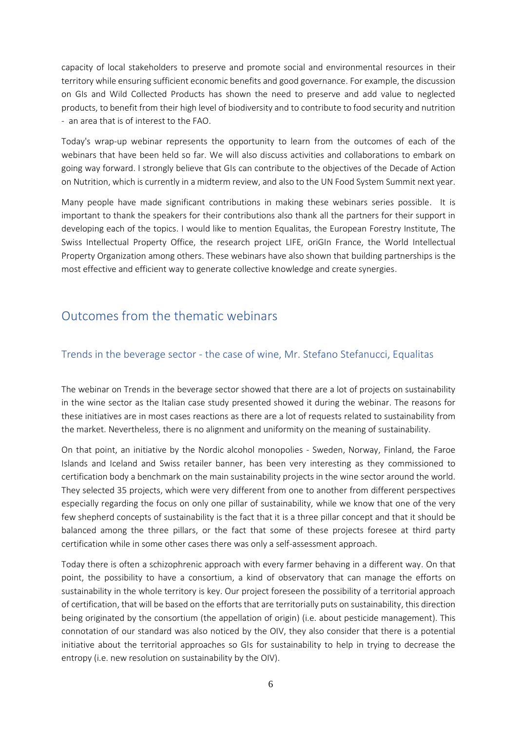capacity of local stakeholders to preserve and promote social and environmental resources in their territory while ensuring sufficient economic benefits and good governance. For example, the discussion on GIs and Wild Collected Products has shown the need to preserve and add value to neglected products, to benefit from their high level of biodiversity and to contribute to food security and nutrition - an area that is of interest to the FAO.

Today's wrap-up webinar represents the opportunity to learn from the outcomes of each of the webinars that have been held so far. We will also discuss activities and collaborations to embark on going way forward. I strongly believe that GIs can contribute to the objectives of the Decade of Action on Nutrition, which is currently in a midterm review, and also to the UN Food System Summit next year.

Many people have made significant contributions in making these webinars series possible. It is important to thank the speakers for their contributions also thank all the partners for their support in developing each of the topics. I would like to mention Equalitas, the European Forestry Institute, The Swiss Intellectual Property Office, the research project LIFE, oriGIn France, the World Intellectual Property Organization among others. These webinars have also shown that building partnerships is the most effective and efficient way to generate collective knowledge and create synergies.

### <span id="page-5-0"></span>Outcomes from the thematic webinars

#### <span id="page-5-1"></span>Trends in the beverage sector - the case of wine, Mr. Stefano Stefanucci, Equalitas

The webinar on Trends in the beverage sector showed that there are a lot of projects on sustainability in the wine sector as the Italian case study presented showed it during the webinar. The reasons for these initiatives are in most cases reactions as there are a lot of requests related to sustainability from the market. Nevertheless, there is no alignment and uniformity on the meaning of sustainability.

On that point, an initiative by the Nordic alcohol monopolies - Sweden, Norway, Finland, the Faroe Islands and Iceland and Swiss retailer banner, has been very interesting as they commissioned to certification body a benchmark on the main sustainability projects in the wine sector around the world. They selected 35 projects, which were very different from one to another from different perspectives especially regarding the focus on only one pillar of sustainability, while we know that one of the very few shepherd concepts of sustainability is the fact that it is a three pillar concept and that it should be balanced among the three pillars, or the fact that some of these projects foresee at third party certification while in some other cases there was only a self-assessment approach.

Today there is often a schizophrenic approach with every farmer behaving in a different way. On that point, the possibility to have a consortium, a kind of observatory that can manage the efforts on sustainability in the whole territory is key. Our project foreseen the possibility of a territorial approach of certification, that will be based on the efforts that are territorially puts on sustainability, this direction being originated by the consortium (the appellation of origin) (i.e. about pesticide management). This connotation of our standard was also noticed by the OIV, they also consider that there is a potential initiative about the territorial approaches so GIs for sustainability to help in trying to decrease the entropy (i.e. new resolution on sustainability by the OIV).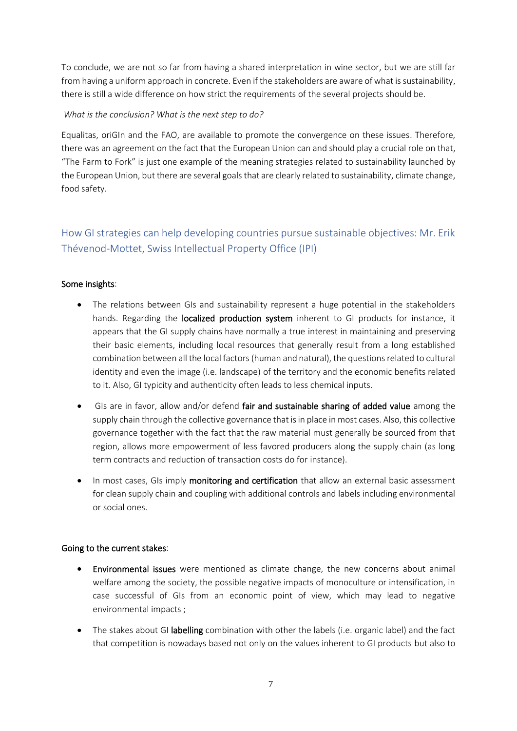To conclude, we are not so far from having a shared interpretation in wine sector, but we are still far from having a uniform approach in concrete. Even if the stakeholders are aware of what is sustainability, there is still a wide difference on how strict the requirements of the several projects should be.

#### *What is the conclusion? What is the next step to do?*

Equalitas, oriGIn and the FAO, are available to promote the convergence on these issues. Therefore, there was an agreement on the fact that the European Union can and should play a crucial role on that, "The Farm to Fork" is just one example of the meaning strategies related to sustainability launched by the European Union, but there are several goals that are clearly related to sustainability, climate change, food safety.

### <span id="page-6-0"></span>How GI strategies can help developing countries pursue sustainable objectives: Mr. Erik Thévenod-Mottet, Swiss Intellectual Property Office (IPI)

#### Some insights:

- The relations between GIs and sustainability represent a huge potential in the stakeholders hands. Regarding the **localized production system** inherent to GI products for instance, it appears that the GI supply chains have normally a true interest in maintaining and preserving their basic elements, including local resources that generally result from a long established combination between all the local factors (human and natural), the questions related to cultural identity and even the image (i.e. landscape) of the territory and the economic benefits related to it. Also, GI typicity and authenticity often leads to less chemical inputs.
- GIs are in favor, allow and/or defend fair and sustainable sharing of added value among the supply chain through the collective governance that is in place in most cases. Also, this collective governance together with the fact that the raw material must generally be sourced from that region, allows more empowerment of less favored producers along the supply chain (as long term contracts and reduction of transaction costs do for instance).
- In most cases, GIs imply monitoring and certification that allow an external basic assessment for clean supply chain and coupling with additional controls and labels including environmental or social ones.

#### Going to the current stakes:

- Environmental issues were mentioned as climate change, the new concerns about animal welfare among the society, the possible negative impacts of monoculture or intensification, in case successful of GIs from an economic point of view, which may lead to negative environmental impacts ;
- The stakes about GI labelling combination with other the labels (i.e. organic label) and the fact that competition is nowadays based not only on the values inherent to GI products but also to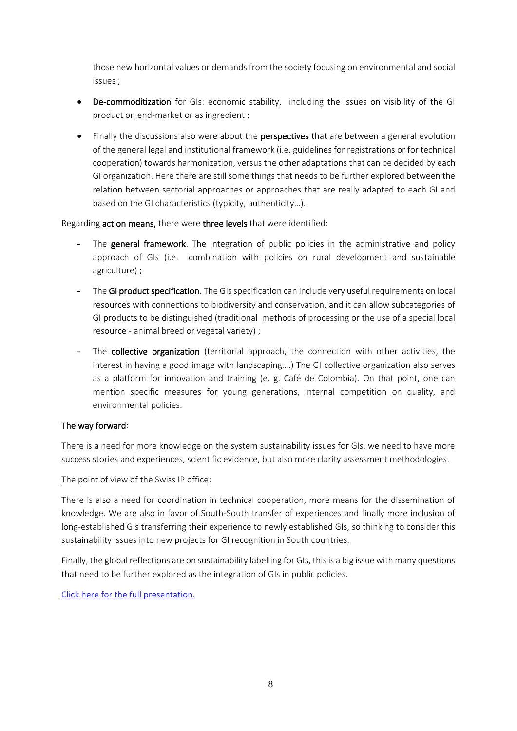those new horizontal values or demands from the society focusing on environmental and social issues ;

- De-commoditization for GIs: economic stability, including the issues on visibility of the GI product on end-market or as ingredient ;
- Finally the discussions also were about the **perspectives** that are between a general evolution of the general legal and institutional framework (i.e. guidelines for registrations or for technical cooperation) towards harmonization, versus the other adaptations that can be decided by each GI organization. Here there are still some things that needs to be further explored between the relation between sectorial approaches or approaches that are really adapted to each GI and based on the GI characteristics (typicity, authenticity…).

#### Regarding action means, there were three levels that were identified:

- The general framework. The integration of public policies in the administrative and policy approach of GIs (i.e. combination with policies on rural development and sustainable agriculture) ;
- The GI product specification. The GIs specification can include very useful requirements on local resources with connections to biodiversity and conservation, and it can allow subcategories of GI products to be distinguished (traditional methods of processing or the use of a special local resource - animal breed or vegetal variety) ;
- The collective organization (territorial approach, the connection with other activities, the interest in having a good image with landscaping….) The GI collective organization also serves as a platform for innovation and training (e. g. Café de Colombia). On that point, one can mention specific measures for young generations, internal competition on quality, and environmental policies.

#### The way forward:

There is a need for more knowledge on the system sustainability issues for GIs, we need to have more success stories and experiences, scientific evidence, but also more clarity assessment methodologies.

#### The point of view of the Swiss IP office:

There is also a need for coordination in technical cooperation, more means for the dissemination of knowledge. We are also in favor of South-South transfer of experiences and finally more inclusion of long-established GIs transferring their experience to newly established GIs, so thinking to consider this sustainability issues into new projects for GI recognition in South countries.

Finally, the global reflections are on sustainability labelling for GIs, this is a big issue with many questions that need to be further explored as the integration of GIs in public policies.

[Click here for the full presentation.](https://www.origin-gi.com/images/stories/PDFs/English/PPT/oriGIn-FAO_Series_of_webinars_2020-PPT/20201202_Geographical_Indications_FAO-oriGIn_webinar_1.pdf)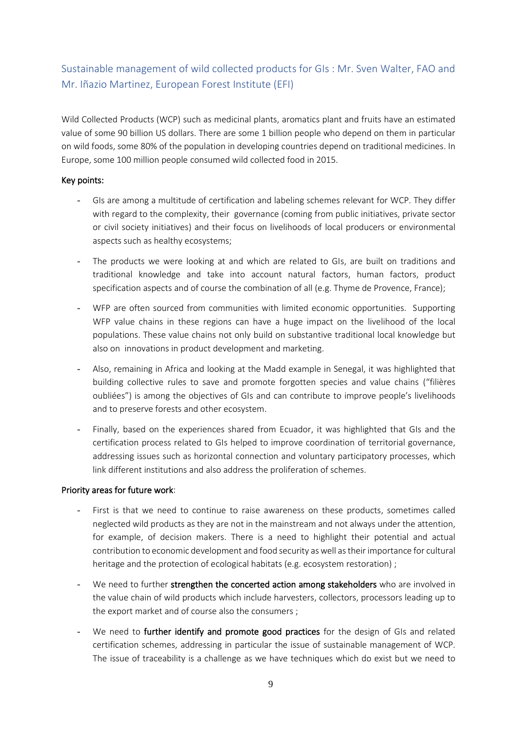### <span id="page-8-0"></span>Sustainable management of wild collected products for GIs : Mr. Sven Walter, FAO and Mr. Iñazio Martinez, European Forest Institute (EFI)

Wild Collected Products (WCP) such as medicinal plants, aromatics plant and fruits have an estimated value of some 90 billion US dollars. There are some 1 billion people who depend on them in particular on wild foods, some 80% of the population in developing countries depend on traditional medicines. In Europe, some 100 million people consumed wild collected food in 2015.

#### Key points:

- GIs are among a multitude of certification and labeling schemes relevant for WCP. They differ with regard to the complexity, their governance (coming from public initiatives, private sector or civil society initiatives) and their focus on livelihoods of local producers or environmental aspects such as healthy ecosystems;
- The products we were looking at and which are related to GIs, are built on traditions and traditional knowledge and take into account natural factors, human factors, product specification aspects and of course the combination of all (e.g. Thyme de Provence, France);
- WFP are often sourced from communities with limited economic opportunities. Supporting WFP value chains in these regions can have a huge impact on the livelihood of the local populations. These value chains not only build on substantive traditional local knowledge but also on innovations in product development and marketing.
- Also, remaining in Africa and looking at the Madd example in Senegal, it was highlighted that building collective rules to save and promote forgotten species and value chains ("filières oubliées") is among the objectives of GIs and can contribute to improve people's livelihoods and to preserve forests and other ecosystem.
- Finally, based on the experiences shared from Ecuador, it was highlighted that GIs and the certification process related to GIs helped to improve coordination of territorial governance, addressing issues such as horizontal connection and voluntary participatory processes, which link different institutions and also address the proliferation of schemes.

#### Priority areas for future work:

- First is that we need to continue to raise awareness on these products, sometimes called neglected wild products as they are not in the mainstream and not always under the attention, for example, of decision makers. There is a need to highlight their potential and actual contribution to economic development and food security as well as their importance for cultural heritage and the protection of ecological habitats (e.g. ecosystem restoration) ;
- We need to further strengthen the concerted action among stakeholders who are involved in the value chain of wild products which include harvesters, collectors, processors leading up to the export market and of course also the consumers ;
- We need to further identify and promote good practices for the design of GIs and related certification schemes, addressing in particular the issue of sustainable management of WCP. The issue of traceability is a challenge as we have techniques which do exist but we need to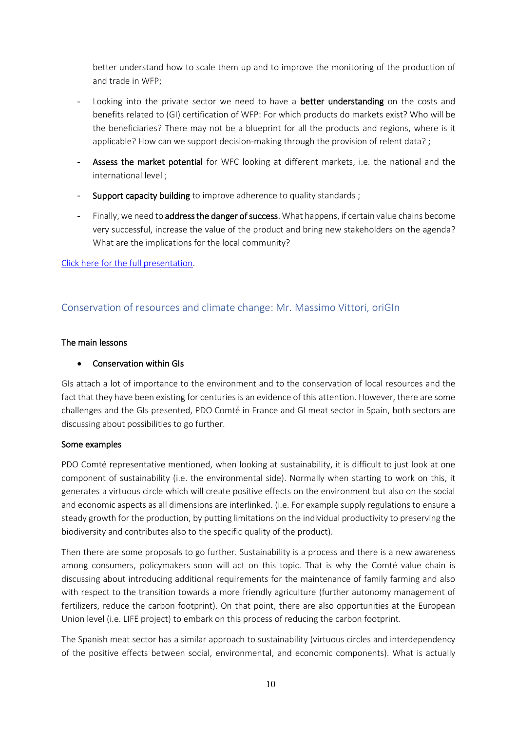better understand how to scale them up and to improve the monitoring of the production of and trade in WFP;

- Looking into the private sector we need to have a better understanding on the costs and benefits related to (GI) certification of WFP: For which products do markets exist? Who will be the beneficiaries? There may not be a blueprint for all the products and regions, where is it applicable? How can we support decision-making through the provision of relent data? ;
- Assess the market potential for WFC looking at different markets, i.e. the national and the international level ;
- Support capacity building to improve adherence to quality standards;
- Finally, we need to **address the danger of success**. What happens, if certain value chains become very successful, increase the value of the product and bring new stakeholders on the agenda? What are the implications for the local community?

[Click here for the full presentation.](https://www.origin-gi.com/images/stories/PDFs/English/PPT/oriGIn-FAO_Series_of_webinars_2020-PPT/Sven-WILD-Summary-NWFPGI_30.11.20.pdf)

#### <span id="page-9-0"></span>Conservation of resources and climate change: Mr. Massimo Vittori, oriGIn

#### The main lessons

#### • Conservation within GIs

GIs attach a lot of importance to the environment and to the conservation of local resources and the fact that they have been existing for centuries is an evidence of this attention. However, there are some challenges and the GIs presented, PDO Comté in France and GI meat sector in Spain, both sectors are discussing about possibilities to go further.

#### Some examples

PDO Comté representative mentioned, when looking at sustainability, it is difficult to just look at one component of sustainability (i.e. the environmental side). Normally when starting to work on this, it generates a virtuous circle which will create positive effects on the environment but also on the social and economic aspects as all dimensions are interlinked. (i.e. For example supply regulations to ensure a steady growth for the production, by putting limitations on the individual productivity to preserving the biodiversity and contributes also to the specific quality of the product).

Then there are some proposals to go further. Sustainability is a process and there is a new awareness among consumers, policymakers soon will act on this topic. That is why the Comté value chain is discussing about introducing additional requirements for the maintenance of family farming and also with respect to the transition towards a more friendly agriculture (further autonomy management of fertilizers, reduce the carbon footprint). On that point, there are also opportunities at the European Union level (i.e. LIFE project) to embark on this process of reducing the carbon footprint.

The Spanish meat sector has a similar approach to sustainability (virtuous circles and interdependency of the positive effects between social, environmental, and economic components). What is actually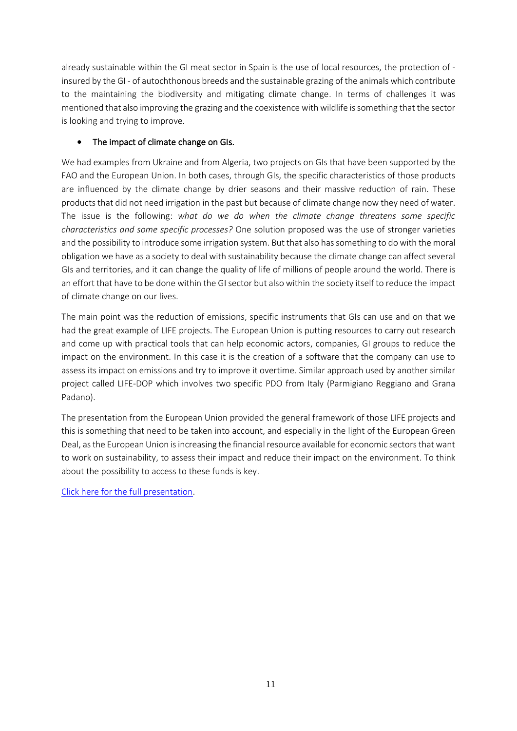already sustainable within the GI meat sector in Spain is the use of local resources, the protection of insured by the GI - of autochthonous breeds and the sustainable grazing of the animals which contribute to the maintaining the biodiversity and mitigating climate change. In terms of challenges it was mentioned that also improving the grazing and the coexistence with wildlife is something that the sector is looking and trying to improve.

#### The impact of climate change on GIs.

We had examples from Ukraine and from Algeria, two projects on GIs that have been supported by the FAO and the European Union. In both cases, through GIs, the specific characteristics of those products are influenced by the climate change by drier seasons and their massive reduction of rain. These products that did not need irrigation in the past but because of climate change now they need of water. The issue is the following: *what do we do when the climate change threatens some specific characteristics and some specific processes?* One solution proposed was the use of stronger varieties and the possibility to introduce some irrigation system. But that also hassomething to do with the moral obligation we have as a society to deal with sustainability because the climate change can affect several GIs and territories, and it can change the quality of life of millions of people around the world. There is an effort that have to be done within the GI sector but also within the society itself to reduce the impact of climate change on our lives.

The main point was the reduction of emissions, specific instruments that GIs can use and on that we had the great example of LIFE projects. The European Union is putting resources to carry out research and come up with practical tools that can help economic actors, companies, GI groups to reduce the impact on the environment. In this case it is the creation of a software that the company can use to assess its impact on emissions and try to improve it overtime. Similar approach used by another similar project called LIFE-DOP which involves two specific PDO from Italy (Parmigiano Reggiano and Grana Padano).

The presentation from the European Union provided the general framework of those LIFE projects and this is something that need to be taken into account, and especially in the light of the European Green Deal, as the European Union is increasing the financial resource available for economic sectors that want to work on sustainability, to assess their impact and reduce their impact on the environment. To think about the possibility to access to these funds is key.

[Click here for the full presentation.](https://www.origin-gi.com/images/stories/PDFs/English/PPT/oriGIn-FAO_Series_of_webinars_2020-PPT/Web_4_vittori.pdf)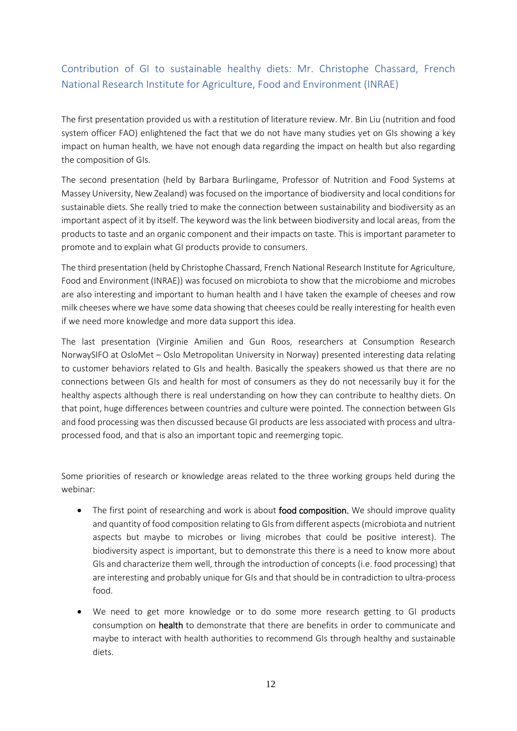### <span id="page-11-0"></span>Contribution of GI to sustainable healthy diets: Mr. Christophe Chassard, French National Research Institute for Agriculture, Food and Environment (INRAE)

The first presentation provided us with a restitution of literature review. Mr. Bin Liu (nutrition and food system officer FAO) enlightened the fact that we do not have many studies yet on GIs showing a key impact on human health, we have not enough data regarding the impact on health but also regarding the composition of GIs.

The second presentation (held by Barbara Burlingame, Professor of Nutrition and Food Systems at Massey University, New Zealand) was focused on the importance of biodiversity and local conditions for sustainable diets. She really tried to make the connection between sustainability and biodiversity as an important aspect of it by itself. The keyword was the link between biodiversity and local areas, from the products to taste and an organic component and their impacts on taste. This is important parameter to promote and to explain what GI products provide to consumers.

The third presentation (held by Christophe Chassard, French National Research Institute for Agriculture, Food and Environment (INRAE)) was focused on microbiota to show that the microbiome and microbes are also interesting and important to human health and I have taken the example of cheeses and row milk cheeses where we have some data showing that cheeses could be really interesting for health even if we need more knowledge and more data support this idea.

The last presentation (Virginie Amilien and Gun Roos, researchers at Consumption Research NorwaySIFO at OsloMet – Oslo Metropolitan University in Norway) presented interesting data relating to customer behaviors related to GIs and health. Basically the speakers showed us that there are no connections between GIs and health for most of consumers as they do not necessarily buy it for the healthy aspects although there is real understanding on how they can contribute to healthy diets. On that point, huge differences between countries and culture were pointed. The connection between GIs and food processing was then discussed because GI products are less associated with process and ultraprocessed food, and that is also an important topic and reemerging topic.

Some priorities of research or knowledge areas related to the three working groups held during the webinar:

- The first point of researching and work is about food composition. We should improve quality and quantity of food composition relating to GIs from different aspects(microbiota and nutrient aspects but maybe to microbes or living microbes that could be positive interest). The biodiversity aspect is important, but to demonstrate this there is a need to know more about GIs and characterize them well, through the introduction of concepts (i.e. food processing) that are interesting and probably unique for GIs and that should be in contradiction to ultra-process food.
- We need to get more knowledge or to do some more research getting to GI products consumption on health to demonstrate that there are benefits in order to communicate and maybe to interact with health authorities to recommend GIs through healthy and sustainable diets.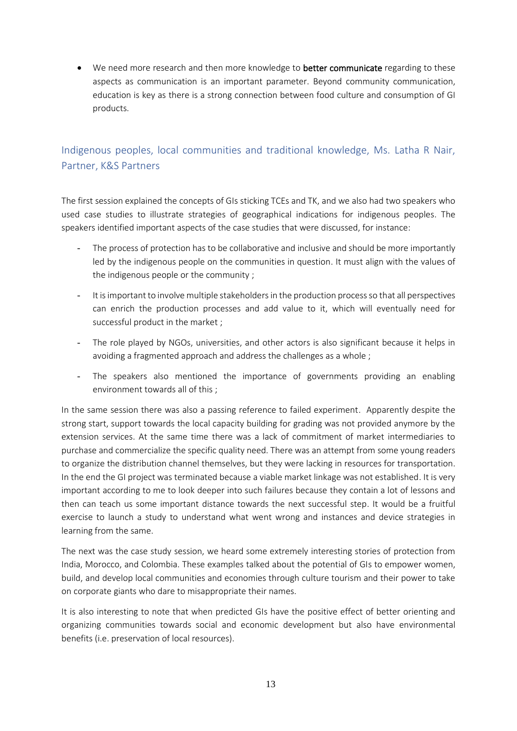• We need more research and then more knowledge to **better communicate** regarding to these aspects as communication is an important parameter. Beyond community communication, education is key as there is a strong connection between food culture and consumption of GI products.

### <span id="page-12-0"></span>Indigenous peoples, local communities and traditional knowledge, Ms. Latha R Nair, Partner, K&S Partners

The first session explained the concepts of GIs sticking TCEs and TK, and we also had two speakers who used case studies to illustrate strategies of geographical indications for indigenous peoples. The speakers identified important aspects of the case studies that were discussed, for instance:

- The process of protection has to be collaborative and inclusive and should be more importantly led by the indigenous people on the communities in question. It must align with the values of the indigenous people or the community ;
- It is important to involve multiple stakeholders in the production process so that all perspectives can enrich the production processes and add value to it, which will eventually need for successful product in the market ;
- The role played by NGOs, universities, and other actors is also significant because it helps in avoiding a fragmented approach and address the challenges as a whole ;
- The speakers also mentioned the importance of governments providing an enabling environment towards all of this ;

In the same session there was also a passing reference to failed experiment. Apparently despite the strong start, support towards the local capacity building for grading was not provided anymore by the extension services. At the same time there was a lack of commitment of market intermediaries to purchase and commercialize the specific quality need. There was an attempt from some young readers to organize the distribution channel themselves, but they were lacking in resources for transportation. In the end the GI project was terminated because a viable market linkage was not established. It is very important according to me to look deeper into such failures because they contain a lot of lessons and then can teach us some important distance towards the next successful step. It would be a fruitful exercise to launch a study to understand what went wrong and instances and device strategies in learning from the same.

The next was the case study session, we heard some extremely interesting stories of protection from India, Morocco, and Colombia. These examples talked about the potential of GIs to empower women, build, and develop local communities and economies through culture tourism and their power to take on corporate giants who dare to misappropriate their names.

It is also interesting to note that when predicted GIs have the positive effect of better orienting and organizing communities towards social and economic development but also have environmental benefits (i.e. preservation of local resources).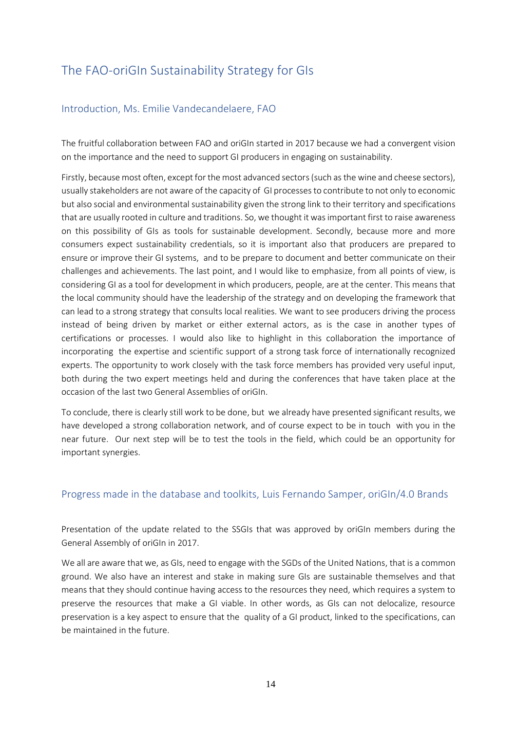### <span id="page-13-0"></span>The FAO-oriGIn Sustainability Strategy for GIs

#### <span id="page-13-1"></span>Introduction, Ms. Emilie Vandecandelaere, FAO

The fruitful collaboration between FAO and oriGIn started in 2017 because we had a convergent vision on the importance and the need to support GI producers in engaging on sustainability.

Firstly, because most often, except for the most advanced sectors(such as the wine and cheese sectors), usually stakeholders are not aware of the capacity of GI processes to contribute to not only to economic but also social and environmental sustainability given the strong link to their territory and specifications that are usually rooted in culture and traditions. So, we thought it was important first to raise awareness on this possibility of GIs as tools for sustainable development. Secondly, because more and more consumers expect sustainability credentials, so it is important also that producers are prepared to ensure or improve their GI systems, and to be prepare to document and better communicate on their challenges and achievements. The last point, and I would like to emphasize, from all points of view, is considering GI as a tool for development in which producers, people, are at the center. This means that the local community should have the leadership of the strategy and on developing the framework that can lead to a strong strategy that consults local realities. We want to see producers driving the process instead of being driven by market or either external actors, as is the case in another types of certifications or processes. I would also like to highlight in this collaboration the importance of incorporating the expertise and scientific support of a strong task force of internationally recognized experts. The opportunity to work closely with the task force members has provided very useful input, both during the two expert meetings held and during the conferences that have taken place at the occasion of the last two General Assemblies of oriGIn.

To conclude, there is clearly still work to be done, but we already have presented significant results, we have developed a strong collaboration network, and of course expect to be in touch with you in the near future. Our next step will be to test the tools in the field, which could be an opportunity for important synergies.

#### <span id="page-13-2"></span>Progress made in the database and toolkits, Luis Fernando Samper, oriGIn/4.0 Brands

Presentation of the update related to the SSGIs that was approved by oriGIn members during the General Assembly of oriGIn in 2017.

We all are aware that we, as GIs, need to engage with the SGDs of the United Nations, that is a common ground. We also have an interest and stake in making sure GIs are sustainable themselves and that means that they should continue having access to the resources they need, which requires a system to preserve the resources that make a GI viable. In other words, as GIs can not delocalize, resource preservation is a key aspect to ensure that the quality of a GI product, linked to the specifications, can be maintained in the future.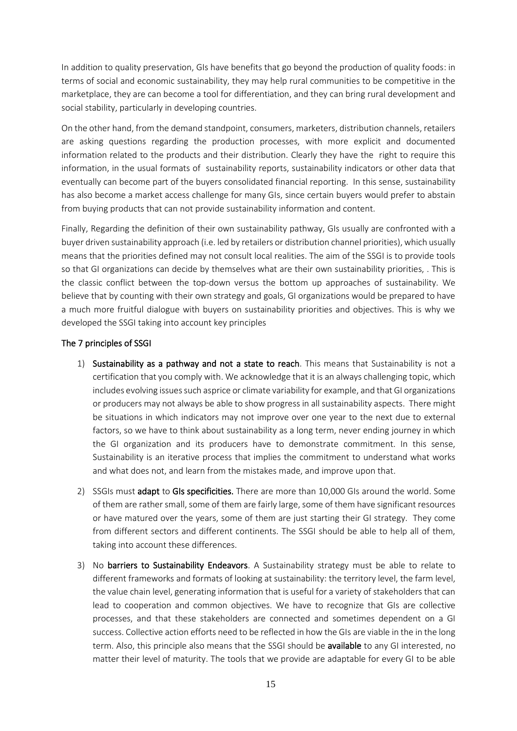In addition to quality preservation, GIs have benefits that go beyond the production of quality foods: in terms of social and economic sustainability, they may help rural communities to be competitive in the marketplace, they are can become a tool for differentiation, and they can bring rural development and social stability, particularly in developing countries.

On the other hand, from the demand standpoint, consumers, marketers, distribution channels, retailers are asking questions regarding the production processes, with more explicit and documented information related to the products and their distribution. Clearly they have the right to require this information, in the usual formats of sustainability reports, sustainability indicators or other data that eventually can become part of the buyers consolidated financial reporting. In this sense, sustainability has also become a market access challenge for many GIs, since certain buyers would prefer to abstain from buying products that can not provide sustainability information and content.

Finally, Regarding the definition of their own sustainability pathway, GIs usually are confronted with a buyer driven sustainability approach (i.e. led by retailers or distribution channel priorities), which usually means that the priorities defined may not consult local realities. The aim of the SSGI is to provide tools so that GI organizations can decide by themselves what are their own sustainability priorities, . This is the classic conflict between the top-down versus the bottom up approaches of sustainability. We believe that by counting with their own strategy and goals, GI organizations would be prepared to have a much more fruitful dialogue with buyers on sustainability priorities and objectives. This is why we developed the SSGI taking into account key principles

#### The 7 principles of SSGI

- 1) Sustainability as a pathway and not a state to reach. This means that Sustainability is not a certification that you comply with. We acknowledge that it is an always challenging topic, which includes evolving issues such asprice or climate variability for example, and that GI organizations or producers may not always be able to show progress in all sustainability aspects. There might be situations in which indicators may not improve over one year to the next due to external factors, so we have to think about sustainability as a long term, never ending journey in which the GI organization and its producers have to demonstrate commitment. In this sense, Sustainability is an iterative process that implies the commitment to understand what works and what does not, and learn from the mistakes made, and improve upon that.
- 2) SSGIs must adapt to GIs specificities. There are more than 10,000 GIs around the world. Some of them are rather small, some of them are fairly large, some of them have significant resources or have matured over the years, some of them are just starting their GI strategy. They come from different sectors and different continents. The SSGI should be able to help all of them, taking into account these differences.
- 3) No barriers to Sustainability Endeavors. A Sustainability strategy must be able to relate to different frameworks and formats of looking at sustainability: the territory level, the farm level, the value chain level, generating information that is useful for a variety of stakeholders that can lead to cooperation and common objectives. We have to recognize that GIs are collective processes, and that these stakeholders are connected and sometimes dependent on a GI success. Collective action efforts need to be reflected in how the GIs are viable in the in the long term. Also, this principle also means that the SSGI should be **available** to any GI interested, no matter their level of maturity. The tools that we provide are adaptable for every GI to be able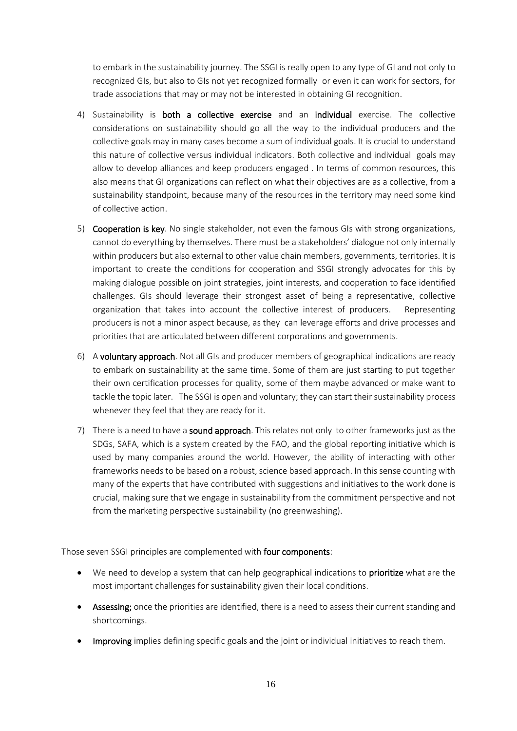to embark in the sustainability journey. The SSGI is really open to any type of GI and not only to recognized GIs, but also to GIs not yet recognized formally or even it can work for sectors, for trade associations that may or may not be interested in obtaining GI recognition.

- 4) Sustainability is both a collective exercise and an individual exercise. The collective considerations on sustainability should go all the way to the individual producers and the collective goals may in many cases become a sum of individual goals. It is crucial to understand this nature of collective versus individual indicators. Both collective and individual goals may allow to develop alliances and keep producers engaged . In terms of common resources, this also means that GI organizations can reflect on what their objectives are as a collective, from a sustainability standpoint, because many of the resources in the territory may need some kind of collective action.
- 5) Cooperation is key. No single stakeholder, not even the famous GIs with strong organizations, cannot do everything by themselves. There must be a stakeholders' dialogue not only internally within producers but also external to other value chain members, governments, territories. It is important to create the conditions for cooperation and SSGI strongly advocates for this by making dialogue possible on joint strategies, joint interests, and cooperation to face identified challenges. GIs should leverage their strongest asset of being a representative, collective organization that takes into account the collective interest of producers. Representing producers is not a minor aspect because, as they can leverage efforts and drive processes and priorities that are articulated between different corporations and governments.
- 6) A voluntary approach. Not all GIs and producer members of geographical indications are ready to embark on sustainability at the same time. Some of them are just starting to put together their own certification processes for quality, some of them maybe advanced or make want to tackle the topic later. The SSGI is open and voluntary; they can start their sustainability process whenever they feel that they are ready for it.
- 7) There is a need to have a sound approach. This relates not only to other frameworks just as the SDGs, SAFA, which is a system created by the FAO, and the global reporting initiative which is used by many companies around the world. However, the ability of interacting with other frameworks needs to be based on a robust, science based approach. In this sense counting with many of the experts that have contributed with suggestions and initiatives to the work done is crucial, making sure that we engage in sustainability from the commitment perspective and not from the marketing perspective sustainability (no greenwashing).

Those seven SSGI principles are complemented with four components:

- We need to develop a system that can help geographical indications to **prioritize** what are the most important challenges for sustainability given their local conditions.
- Assessing; once the priorities are identified, there is a need to assess their current standing and shortcomings.
- Improving implies defining specific goals and the joint or individual initiatives to reach them.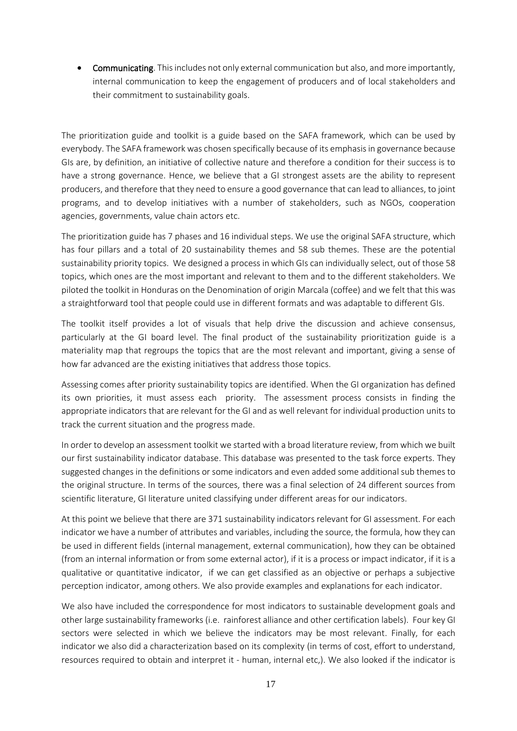• Communicating. This includes not only external communication but also, and more importantly, internal communication to keep the engagement of producers and of local stakeholders and their commitment to sustainability goals.

The prioritization guide and toolkit is a guide based on the SAFA framework, which can be used by everybody. The SAFA framework was chosen specifically because of its emphasis in governance because GIs are, by definition, an initiative of collective nature and therefore a condition for their success is to have a strong governance. Hence, we believe that a GI strongest assets are the ability to represent producers, and therefore that they need to ensure a good governance that can lead to alliances, to joint programs, and to develop initiatives with a number of stakeholders, such as NGOs, cooperation agencies, governments, value chain actors etc.

The prioritization guide has 7 phases and 16 individual steps. We use the original SAFA structure, which has four pillars and a total of 20 sustainability themes and 58 sub themes. These are the potential sustainability priority topics. We designed a process in which GIs can individually select, out of those 58 topics, which ones are the most important and relevant to them and to the different stakeholders. We piloted the toolkit in Honduras on the Denomination of origin Marcala (coffee) and we felt that this was a straightforward tool that people could use in different formats and was adaptable to different GIs.

The toolkit itself provides a lot of visuals that help drive the discussion and achieve consensus, particularly at the GI board level. The final product of the sustainability prioritization guide is a materiality map that regroups the topics that are the most relevant and important, giving a sense of how far advanced are the existing initiatives that address those topics.

Assessing comes after priority sustainability topics are identified. When the GI organization has defined its own priorities, it must assess each priority. The assessment process consists in finding the appropriate indicators that are relevant for the GI and as well relevant for individual production units to track the current situation and the progress made.

In order to develop an assessment toolkit we started with a broad literature review, from which we built our first sustainability indicator database. This database was presented to the task force experts. They suggested changes in the definitions or some indicators and even added some additional sub themes to the original structure. In terms of the sources, there was a final selection of 24 different sources from scientific literature, GI literature united classifying under different areas for our indicators.

At this point we believe that there are 371 sustainability indicators relevant for GI assessment. For each indicator we have a number of attributes and variables, including the source, the formula, how they can be used in different fields (internal management, external communication), how they can be obtained (from an internal information or from some external actor), if it is a process or impact indicator, if it is a qualitative or quantitative indicator, if we can get classified as an objective or perhaps a subjective perception indicator, among others. We also provide examples and explanations for each indicator.

We also have included the correspondence for most indicators to sustainable development goals and other large sustainability frameworks (i.e. rainforest alliance and other certification labels). Four key GI sectors were selected in which we believe the indicators may be most relevant. Finally, for each indicator we also did a characterization based on its complexity (in terms of cost, effort to understand, resources required to obtain and interpret it - human, internal etc,). We also looked if the indicator is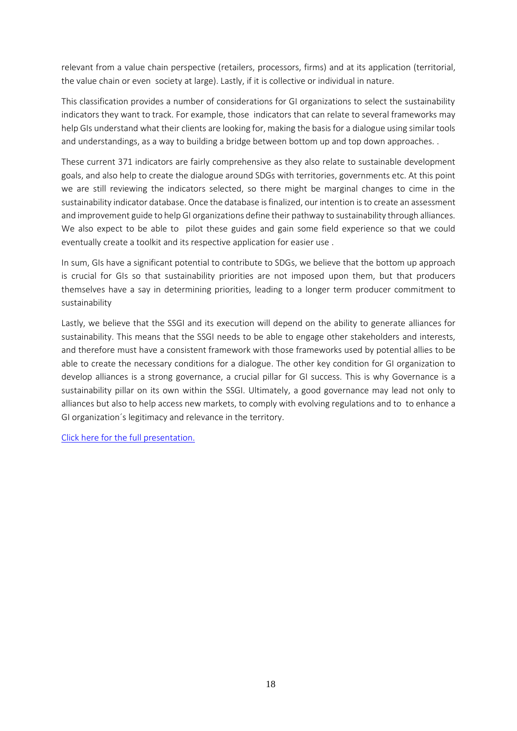relevant from a value chain perspective (retailers, processors, firms) and at its application (territorial, the value chain or even society at large). Lastly, if it is collective or individual in nature.

This classification provides a number of considerations for GI organizations to select the sustainability indicators they want to track. For example, those indicators that can relate to several frameworks may help GIs understand what their clients are looking for, making the basis for a dialogue using similar tools and understandings, as a way to building a bridge between bottom up and top down approaches. .

These current 371 indicators are fairly comprehensive as they also relate to sustainable development goals, and also help to create the dialogue around SDGs with territories, governments etc. At this point we are still reviewing the indicators selected, so there might be marginal changes to cime in the sustainability indicator database. Once the database is finalized, our intention is to create an assessment and improvement guide to help GI organizations define their pathway to sustainability through alliances. We also expect to be able to pilot these guides and gain some field experience so that we could eventually create a toolkit and its respective application for easier use .

In sum, GIs have a significant potential to contribute to SDGs, we believe that the bottom up approach is crucial for GIs so that sustainability priorities are not imposed upon them, but that producers themselves have a say in determining priorities, leading to a longer term producer commitment to sustainability

Lastly, we believe that the SSGI and its execution will depend on the ability to generate alliances for sustainability. This means that the SSGI needs to be able to engage other stakeholders and interests, and therefore must have a consistent framework with those frameworks used by potential allies to be able to create the necessary conditions for a dialogue. The other key condition for GI organization to develop alliances is a strong governance, a crucial pillar for GI success. This is why Governance is a sustainability pillar on its own within the SSGI. Ultimately, a good governance may lead not only to alliances but also to help access new markets, to comply with evolving regulations and to to enhance a GI organization´s legitimacy and relevance in the territory.

[Click here for the full presentation.](https://www.origin-gi.com/images/stories/PDFs/English/PPT/oriGIn-FAO_Series_of_webinars_2020-PPT/Final_PPT-2020-12-02_SSGI_presentation_implementation_update_Luis_Samper_1.pdf)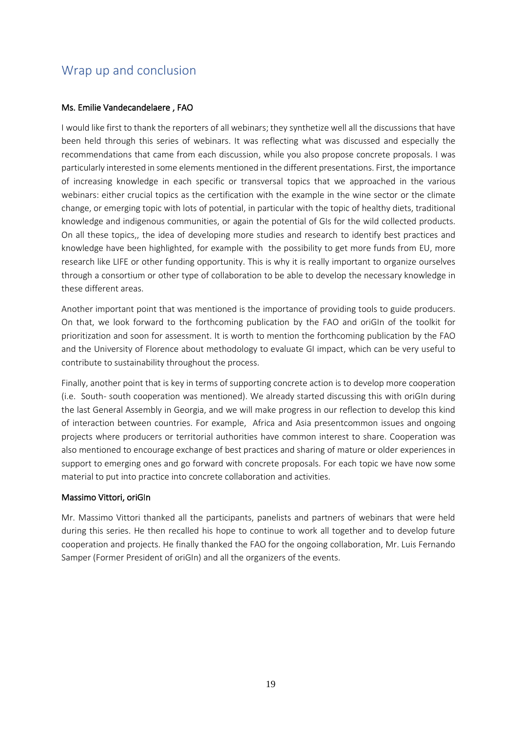### <span id="page-18-0"></span>Wrap up and conclusion

#### Ms. Emilie Vandecandelaere , FAO

I would like first to thank the reporters of all webinars; they synthetize well all the discussions that have been held through this series of webinars. It was reflecting what was discussed and especially the recommendations that came from each discussion, while you also propose concrete proposals. I was particularly interested in some elements mentioned in the different presentations. First, the importance of increasing knowledge in each specific or transversal topics that we approached in the various webinars: either crucial topics as the certification with the example in the wine sector or the climate change, or emerging topic with lots of potential, in particular with the topic of healthy diets, traditional knowledge and indigenous communities, or again the potential of GIs for the wild collected products. On all these topics,, the idea of developing more studies and research to identify best practices and knowledge have been highlighted, for example with the possibility to get more funds from EU, more research like LIFE or other funding opportunity. This is why it is really important to organize ourselves through a consortium or other type of collaboration to be able to develop the necessary knowledge in these different areas.

Another important point that was mentioned is the importance of providing tools to guide producers. On that, we look forward to the forthcoming publication by the FAO and oriGIn of the toolkit for prioritization and soon for assessment. It is worth to mention the forthcoming publication by the FAO and the University of Florence about methodology to evaluate GI impact, which can be very useful to contribute to sustainability throughout the process.

Finally, another point that is key in terms of supporting concrete action is to develop more cooperation (i.e. South- south cooperation was mentioned). We already started discussing this with oriGIn during the last General Assembly in Georgia, and we will make progress in our reflection to develop this kind of interaction between countries. For example, Africa and Asia presentcommon issues and ongoing projects where producers or territorial authorities have common interest to share. Cooperation was also mentioned to encourage exchange of best practices and sharing of mature or older experiences in support to emerging ones and go forward with concrete proposals. For each topic we have now some material to put into practice into concrete collaboration and activities.

#### Massimo Vittori, oriGIn

Mr. Massimo Vittori thanked all the participants, panelists and partners of webinars that were held during this series. He then recalled his hope to continue to work all together and to develop future cooperation and projects. He finally thanked the FAO for the ongoing collaboration, Mr. Luis Fernando Samper (Former President of oriGIn) and all the organizers of the events.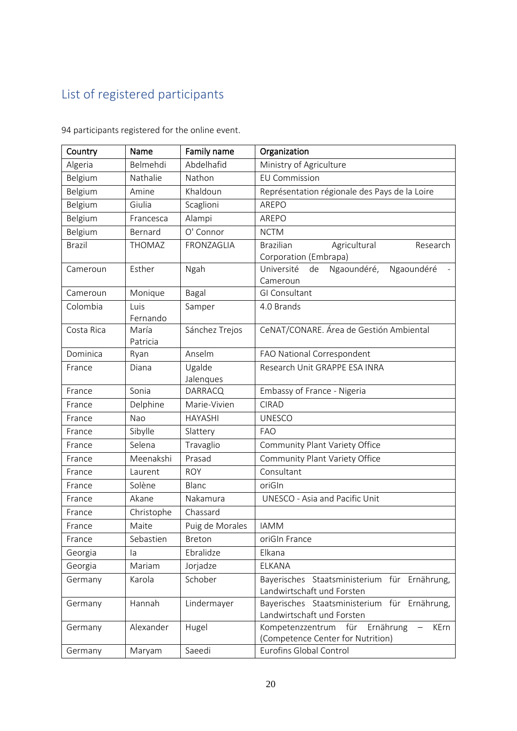# <span id="page-19-0"></span>List of registered participants

| Country       | Name              | Family name         | Organization                                                                      |
|---------------|-------------------|---------------------|-----------------------------------------------------------------------------------|
| Algeria       | Belmehdi          | Abdelhafid          | Ministry of Agriculture                                                           |
| Belgium       | Nathalie          | Nathon              | <b>EU Commission</b>                                                              |
| Belgium       | Amine             | Khaldoun            | Représentation régionale des Pays de la Loire                                     |
| Belgium       | Giulia            | Scaglioni           | AREPO                                                                             |
| Belgium       | Francesca         | Alampi              | AREPO                                                                             |
| Belgium       | Bernard           | O' Connor           | <b>NCTM</b>                                                                       |
| <b>Brazil</b> | <b>THOMAZ</b>     | FRONZAGLIA          | <b>Brazilian</b><br>Agricultural<br>Research<br>Corporation (Embrapa)             |
| Cameroun      | Esther            | Ngah                | Ngaoundéré,<br>Ngaoundéré<br>Université<br>de<br>Cameroun                         |
| Cameroun      | Monique           | Bagal               | GI Consultant                                                                     |
| Colombia      | Luis<br>Fernando  | Samper              | 4.0 Brands                                                                        |
| Costa Rica    | María<br>Patricia | Sánchez Trejos      | CeNAT/CONARE. Área de Gestión Ambiental                                           |
| Dominica      | Ryan              | Anselm              | FAO National Correspondent                                                        |
| France        | Diana             | Ugalde<br>Jalenques | Research Unit GRAPPE ESA INRA                                                     |
| France        | Sonia             | <b>DARRACQ</b>      | Embassy of France - Nigeria                                                       |
| France        | Delphine          | Marie-Vivien        | <b>CIRAD</b>                                                                      |
| France        | Nao               | <b>HAYASHI</b>      | <b>UNESCO</b>                                                                     |
| France        | Sibylle           | Slattery            | <b>FAO</b>                                                                        |
| France        | Selena            | Travaglio           | Community Plant Variety Office                                                    |
| France        | Meenakshi         | Prasad              | Community Plant Variety Office                                                    |
| France        | Laurent           | <b>ROY</b>          | Consultant                                                                        |
| France        | Solène            | Blanc               | oriGIn                                                                            |
| France        | Akane             | Nakamura            | UNESCO - Asia and Pacific Unit                                                    |
| France        | Christophe        | Chassard            |                                                                                   |
| France        | Maite             | Puig de Morales     | <b>IAMM</b>                                                                       |
| France        | Sebastien         | <b>Breton</b>       | oriGIn France                                                                     |
| Georgia       | la                | Ebralidze           | Elkana                                                                            |
| Georgia       | Mariam            | Jorjadze            | ELKANA                                                                            |
| Germany       | Karola            | Schober             | Bayerisches Staatsministerium für Ernährung,<br>Landwirtschaft und Forsten        |
| Germany       | Hannah            | Lindermayer         | Bayerisches Staatsministerium für Ernährung,<br>Landwirtschaft und Forsten        |
| Germany       | Alexander         | Hugel               | Ernährung<br>für<br>Kompetenzzentrum<br>KErn<br>(Competence Center for Nutrition) |
| Germany       | Maryam            | Saeedi              | Eurofins Global Control                                                           |

94 participants registered for the online event.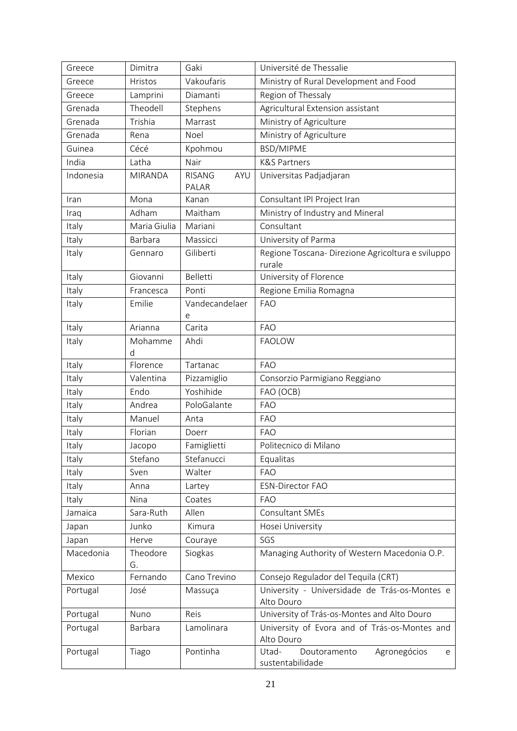| Greece    | Dimitra        | Gaki                          | Université de Thessalie                                        |
|-----------|----------------|-------------------------------|----------------------------------------------------------------|
| Greece    | Hristos        | Vakoufaris                    | Ministry of Rural Development and Food                         |
| Greece    | Lamprini       | Diamanti                      | Region of Thessaly                                             |
| Grenada   | Theodell       | Stephens                      | Agricultural Extension assistant                               |
| Grenada   | Trishia        | Marrast                       | Ministry of Agriculture                                        |
| Grenada   | Rena           | Noel                          | Ministry of Agriculture                                        |
| Guinea    | Cécé           | Kpohmou                       | <b>BSD/MIPME</b>                                               |
| India     | Latha          | Nair                          | <b>K&amp;S Partners</b>                                        |
| Indonesia | <b>MIRANDA</b> | <b>RISANG</b><br>AYU<br>PALAR | Universitas Padjadjaran                                        |
| Iran      | Mona           | Kanan                         | Consultant IPI Project Iran                                    |
| Iraq      | Adham          | Maitham                       | Ministry of Industry and Mineral                               |
| Italy     | Maria Giulia   | Mariani                       | Consultant                                                     |
| Italy     | Barbara        | Massicci                      | University of Parma                                            |
| Italy     | Gennaro        | Giliberti                     | Regione Toscana- Direzione Agricoltura e sviluppo<br>rurale    |
| Italy     | Giovanni       | Belletti                      | University of Florence                                         |
| Italy     | Francesca      | Ponti                         | Regione Emilia Romagna                                         |
| Italy     | Emilie         | Vandecandelaer<br>e           | <b>FAO</b>                                                     |
| Italy     | Arianna        | Carita                        | <b>FAO</b>                                                     |
| Italy     | Mohamme<br>d   | Ahdi                          | <b>FAOLOW</b>                                                  |
| Italy     | Florence       | Tartanac                      | <b>FAO</b>                                                     |
| Italy     | Valentina      | Pizzamiglio                   | Consorzio Parmigiano Reggiano                                  |
| Italy     | Endo           | Yoshihide                     | FAO (OCB)                                                      |
| Italy     | Andrea         | PoloGalante                   | <b>FAO</b>                                                     |
| Italy     | Manuel         | Anta                          | <b>FAO</b>                                                     |
| Italy     | Florian        | Doerr                         | <b>FAO</b>                                                     |
| Italy     | Jacopo         | Famiglietti                   | Politecnico di Milano                                          |
| Italy     | Stefano        | Stefanucci                    | Equalitas                                                      |
| Italy     | Sven           | Walter                        | <b>FAO</b>                                                     |
| Italy     | Anna           | Lartey                        | <b>ESN-Director FAO</b>                                        |
| Italy     | Nina           | Coates                        | <b>FAO</b>                                                     |
| Jamaica   | Sara-Ruth      | Allen                         | Consultant SMEs                                                |
| Japan     | Junko          | Kimura                        | Hosei University                                               |
| Japan     | Herve          | Couraye                       | SGS                                                            |
| Macedonia | Theodore<br>G. | Siogkas                       | Managing Authority of Western Macedonia O.P.                   |
| Mexico    | Fernando       | Cano Trevino                  | Consejo Regulador del Tequila (CRT)                            |
| Portugal  | José           | Massuça                       | University - Universidade de Trás-os-Montes e<br>Alto Douro    |
| Portugal  | Nuno           | Reis                          | University of Trás-os-Montes and Alto Douro                    |
| Portugal  | Barbara        | Lamolinara                    | University of Evora and of Trás-os-Montes and<br>Alto Douro    |
| Portugal  | Tiago          | Pontinha                      | Utad-<br>Doutoramento<br>Agronegócios<br>e<br>sustentabilidade |